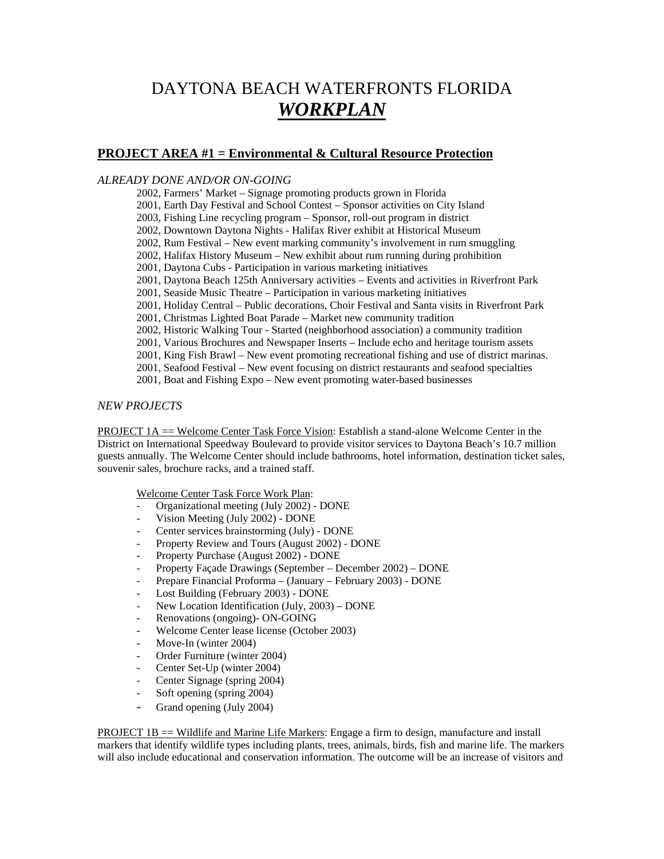# DAYTONA BEACH WATERFRONTS FLORIDA *WORKPLAN*

#### **PROJECT AREA #1 = Environmental & Cultural Resource Protection**

#### *ALREADY DONE AND/OR ON-GOING*

2002, Farmers' Market – Signage promoting products grown in Florida

2001, Earth Day Festival and School Contest – Sponsor activities on City Island

2003, Fishing Line recycling program – Sponsor, roll-out program in district

2002, Downtown Daytona Nights - Halifax River exhibit at Historical Museum

2002, Rum Festival – New event marking community's involvement in rum smuggling

- 2002, Halifax History Museum New exhibit about rum running during prohibition
- 2001, Daytona Cubs Participation in various marketing initiatives

2001, Daytona Beach 125th Anniversary activities – Events and activities in Riverfront Park

2001, Seaside Music Theatre – Participation in various marketing initiatives

2001, Holiday Central – Public decorations, Choir Festival and Santa visits in Riverfront Park

2001, Christmas Lighted Boat Parade – Market new community tradition

2002, Historic Walking Tour - Started (neighborhood association) a community tradition

2001, Various Brochures and Newspaper Inserts – Include echo and heritage tourism assets

2001, King Fish Brawl – New event promoting recreational fishing and use of district marinas.

2001, Seafood Festival – New event focusing on district restaurants and seafood specialties

2001, Boat and Fishing Expo – New event promoting water-based businesses

#### *NEW PROJECTS*

PROJECT 1A == Welcome Center Task Force Vision: Establish a stand-alone Welcome Center in the District on International Speedway Boulevard to provide visitor services to Daytona Beach's 10.7 million guests annually. The Welcome Center should include bathrooms, hotel information, destination ticket sales, souvenir sales, brochure racks, and a trained staff.

Welcome Center Task Force Work Plan:

- Organizational meeting (July 2002) DONE
- Vision Meeting (July 2002) DONE
- Center services brainstorming (July) DONE
- Property Review and Tours (August 2002) DONE
- Property Purchase (August 2002) DONE
- Property Façade Drawings (September December 2002) DONE
- Prepare Financial Proforma (January February 2003) DONE
- Lost Building (February 2003) DONE
- New Location Identification (July, 2003) DONE
- Renovations (ongoing)- ON-GOING
- Welcome Center lease license (October 2003)
- Move-In (winter 2004)
- Order Furniture (winter 2004)
- Center Set-Up (winter 2004)
- Center Signage (spring 2004)
- Soft opening (spring 2004)
- Grand opening (July 2004)

PROJECT 1B == Wildlife and Marine Life Markers: Engage a firm to design, manufacture and install markers that identify wildlife types including plants, trees, animals, birds, fish and marine life. The markers will also include educational and conservation information. The outcome will be an increase of visitors and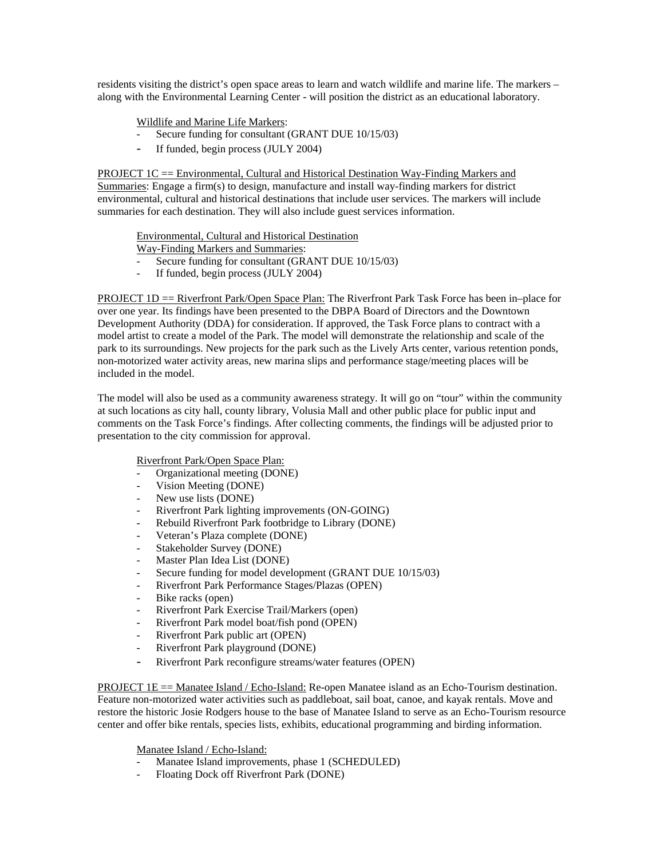residents visiting the district's open space areas to learn and watch wildlife and marine life. The markers – along with the Environmental Learning Center - will position the district as an educational laboratory.

Wildlife and Marine Life Markers:

- Secure funding for consultant (GRANT DUE 10/15/03)
- If funded, begin process (JULY 2004)

PROJECT 1C == Environmental, Cultural and Historical Destination Way-Finding Markers and Summaries: Engage a firm(s) to design, manufacture and install way-finding markers for district environmental, cultural and historical destinations that include user services. The markers will include summaries for each destination. They will also include guest services information.

Environmental, Cultural and Historical Destination

- Way-Finding Markers and Summaries:
- Secure funding for consultant (GRANT DUE 10/15/03)
- If funded, begin process (JULY 2004)

PROJECT 1D == Riverfront Park/Open Space Plan: The Riverfront Park Task Force has been in–place for over one year. Its findings have been presented to the DBPA Board of Directors and the Downtown Development Authority (DDA) for consideration. If approved, the Task Force plans to contract with a model artist to create a model of the Park. The model will demonstrate the relationship and scale of the park to its surroundings. New projects for the park such as the Lively Arts center, various retention ponds, non-motorized water activity areas, new marina slips and performance stage/meeting places will be included in the model.

The model will also be used as a community awareness strategy. It will go on "tour" within the community at such locations as city hall, county library, Volusia Mall and other public place for public input and comments on the Task Force's findings. After collecting comments, the findings will be adjusted prior to presentation to the city commission for approval.

#### Riverfront Park/Open Space Plan:

- Organizational meeting (DONE)
- Vision Meeting (DONE)
- New use lists (DONE)
- Riverfront Park lighting improvements (ON-GOING)
- Rebuild Riverfront Park footbridge to Library (DONE)
- Veteran's Plaza complete (DONE)
- Stakeholder Survey (DONE)
- Master Plan Idea List (DONE)
- Secure funding for model development (GRANT DUE 10/15/03)
- Riverfront Park Performance Stages/Plazas (OPEN)
- Bike racks (open)
- Riverfront Park Exercise Trail/Markers (open)
- Riverfront Park model boat/fish pond (OPEN)
- Riverfront Park public art (OPEN)
- Riverfront Park playground (DONE)
- Riverfront Park reconfigure streams/water features (OPEN)

PROJECT  $1E =$  Manatee Island / Echo-Island: Re-open Manatee island as an Echo-Tourism destination. Feature non-motorized water activities such as paddleboat, sail boat, canoe, and kayak rentals. Move and restore the historic Josie Rodgers house to the base of Manatee Island to serve as an Echo-Tourism resource center and offer bike rentals, species lists, exhibits, educational programming and birding information.

Manatee Island / Echo-Island:

- Manatee Island improvements, phase 1 (SCHEDULED)
- Floating Dock off Riverfront Park (DONE)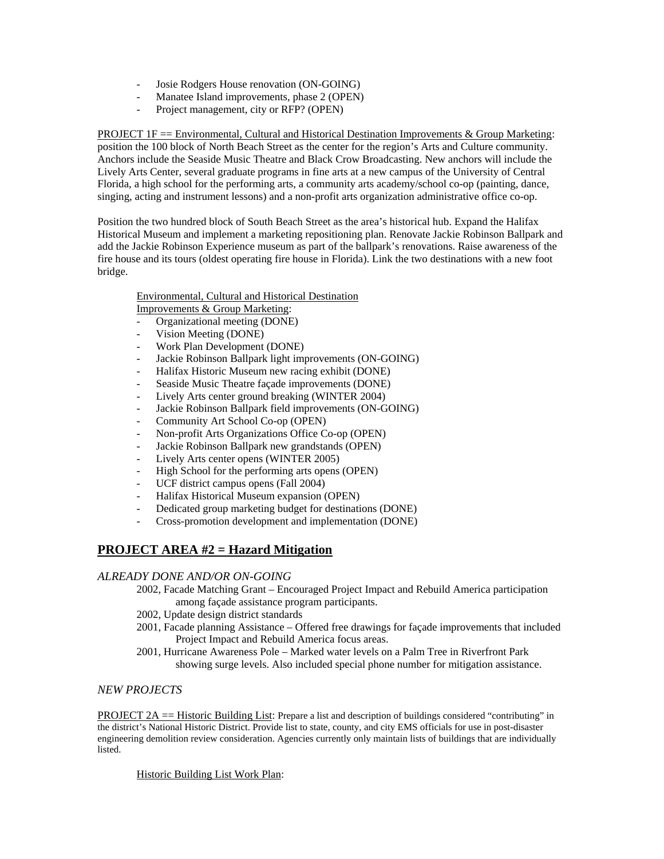- Josie Rodgers House renovation (ON-GOING)
- Manatee Island improvements, phase 2 (OPEN)
- Project management, city or RFP? (OPEN)

PROJECT 1F == Environmental, Cultural and Historical Destination Improvements  $\&$  Group Marketing: position the 100 block of North Beach Street as the center for the region's Arts and Culture community. Anchors include the Seaside Music Theatre and Black Crow Broadcasting. New anchors will include the Lively Arts Center, several graduate programs in fine arts at a new campus of the University of Central Florida, a high school for the performing arts, a community arts academy/school co-op (painting, dance, singing, acting and instrument lessons) and a non-profit arts organization administrative office co-op.

Position the two hundred block of South Beach Street as the area's historical hub. Expand the Halifax Historical Museum and implement a marketing repositioning plan. Renovate Jackie Robinson Ballpark and add the Jackie Robinson Experience museum as part of the ballpark's renovations. Raise awareness of the fire house and its tours (oldest operating fire house in Florida). Link the two destinations with a new foot bridge.

## Environmental, Cultural and Historical Destination

Improvements & Group Marketing:

- Organizational meeting (DONE)
- Vision Meeting (DONE)
- Work Plan Development (DONE)
- Jackie Robinson Ballpark light improvements (ON-GOING)
- Halifax Historic Museum new racing exhibit (DONE)
- Seaside Music Theatre façade improvements (DONE)
- Lively Arts center ground breaking (WINTER 2004)
- Jackie Robinson Ballpark field improvements (ON-GOING)
- Community Art School Co-op (OPEN)
- Non-profit Arts Organizations Office Co-op (OPEN)
- Jackie Robinson Ballpark new grandstands (OPEN)
- Lively Arts center opens (WINTER 2005)
- High School for the performing arts opens (OPEN)
- UCF district campus opens (Fall 2004)
- Halifax Historical Museum expansion (OPEN)
- Dedicated group marketing budget for destinations (DONE)
- Cross-promotion development and implementation (DONE)

## **PROJECT AREA #2 = Hazard Mitigation**

#### *ALREADY DONE AND/OR ON-GOING*

- 2002, Facade Matching Grant Encouraged Project Impact and Rebuild America participation among façade assistance program participants.
- 2002, Update design district standards
- 2001, Facade planning Assistance Offered free drawings for façade improvements that included Project Impact and Rebuild America focus areas.
- 2001, Hurricane Awareness Pole Marked water levels on a Palm Tree in Riverfront Park showing surge levels. Also included special phone number for mitigation assistance.

#### *NEW PROJECTS*

PROJECT 2A == Historic Building List: Prepare a list and description of buildings considered "contributing" in the district's National Historic District. Provide list to state, county, and city EMS officials for use in post-disaster engineering demolition review consideration. Agencies currently only maintain lists of buildings that are individually listed.

#### Historic Building List Work Plan: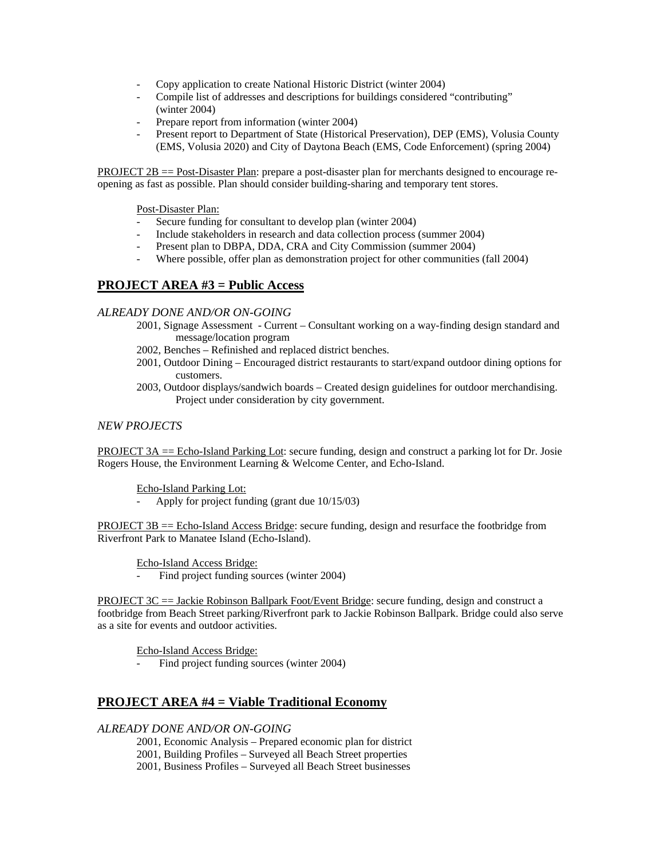- Copy application to create National Historic District (winter 2004)
- Compile list of addresses and descriptions for buildings considered "contributing" (winter 2004)
- Prepare report from information (winter 2004)
- Present report to Department of State (Historical Preservation), DEP (EMS), Volusia County (EMS, Volusia 2020) and City of Daytona Beach (EMS, Code Enforcement) (spring 2004)

PROJECT 2B == Post-Disaster Plan: prepare a post-disaster plan for merchants designed to encourage reopening as fast as possible. Plan should consider building-sharing and temporary tent stores.

Post-Disaster Plan:

- Secure funding for consultant to develop plan (winter 2004)
- Include stakeholders in research and data collection process (summer 2004)
- Present plan to DBPA, DDA, CRA and City Commission (summer 2004)
- Where possible, offer plan as demonstration project for other communities (fall 2004)

### **PROJECT AREA #3 = Public Access**

#### *ALREADY DONE AND/OR ON-GOING*

- 2001, Signage Assessment Current Consultant working on a way-finding design standard and message/location program
- 2002, Benches Refinished and replaced district benches.
- 2001, Outdoor Dining Encouraged district restaurants to start/expand outdoor dining options for customers.
- 2003, Outdoor displays/sandwich boards Created design guidelines for outdoor merchandising. Project under consideration by city government.

#### *NEW PROJECTS*

PROJECT 3A == Echo-Island Parking Lot: secure funding, design and construct a parking lot for Dr. Josie Rogers House, the Environment Learning & Welcome Center, and Echo-Island.

Echo-Island Parking Lot:

Apply for project funding (grant due  $10/15/03$ )

 $PROJECT 3B = Echo-Island Access Bridge: secure funding, design and resurface the footbridge from$ Riverfront Park to Manatee Island (Echo-Island).

Echo-Island Access Bridge:

Find project funding sources (winter 2004)

PROJECT 3C == Jackie Robinson Ballpark Foot/Event Bridge: secure funding, design and construct a footbridge from Beach Street parking/Riverfront park to Jackie Robinson Ballpark. Bridge could also serve as a site for events and outdoor activities.

Echo-Island Access Bridge:

Find project funding sources (winter 2004)

## **PROJECT AREA #4 = Viable Traditional Economy**

#### *ALREADY DONE AND/OR ON-GOING*

- 2001, Economic Analysis Prepared economic plan for district
- 2001, Building Profiles Surveyed all Beach Street properties
- 2001, Business Profiles Surveyed all Beach Street businesses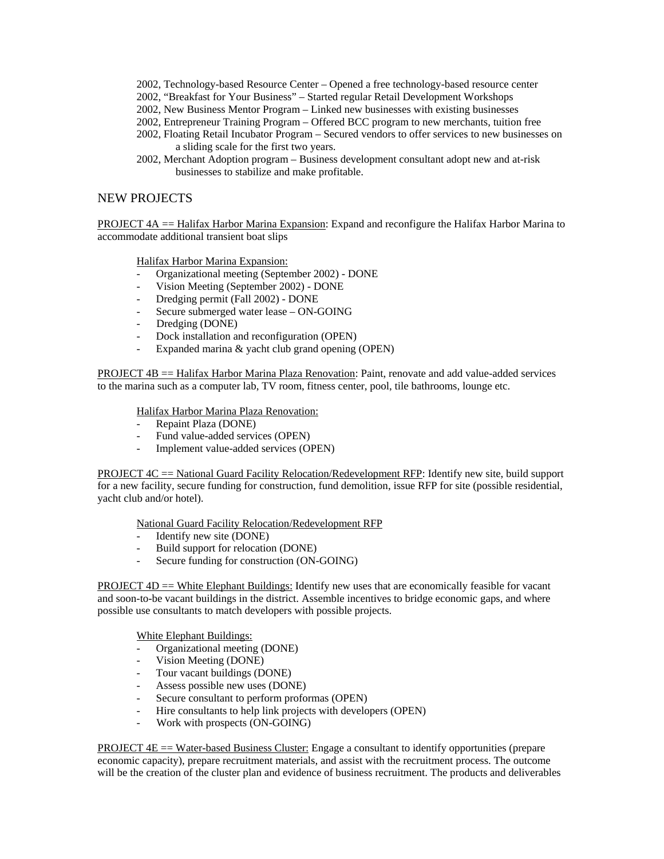- 2002, Technology-based Resource Center Opened a free technology-based resource center
- 2002, "Breakfast for Your Business" Started regular Retail Development Workshops
- 2002, New Business Mentor Program Linked new businesses with existing businesses
- 2002, Entrepreneur Training Program Offered BCC program to new merchants, tuition free
- 2002, Floating Retail Incubator Program Secured vendors to offer services to new businesses on a sliding scale for the first two years.
- 2002, Merchant Adoption program Business development consultant adopt new and at-risk businesses to stabilize and make profitable.

#### NEW PROJECTS

PROJECT 4A == Halifax Harbor Marina Expansion: Expand and reconfigure the Halifax Harbor Marina to accommodate additional transient boat slips

Halifax Harbor Marina Expansion:

- Organizational meeting (September 2002) DONE
- Vision Meeting (September 2002) DONE
- Dredging permit (Fall 2002) DONE
- Secure submerged water lease ON-GOING
- Dredging (DONE)
- Dock installation and reconfiguration (OPEN)
- Expanded marina & yacht club grand opening (OPEN)

PROJECT 4B == Halifax Harbor Marina Plaza Renovation: Paint, renovate and add value-added services to the marina such as a computer lab, TV room, fitness center, pool, tile bathrooms, lounge etc.

Halifax Harbor Marina Plaza Renovation:

- Repaint Plaza (DONE)
- Fund value-added services (OPEN)
- Implement value-added services (OPEN)

PROJECT 4C == National Guard Facility Relocation/Redevelopment RFP: Identify new site, build support for a new facility, secure funding for construction, fund demolition, issue RFP for site (possible residential, yacht club and/or hotel).

National Guard Facility Relocation/Redevelopment RFP

- Identify new site (DONE)
- Build support for relocation (DONE)
- Secure funding for construction (ON-GOING)

PROJECT  $4D =$  White Elephant Buildings: Identify new uses that are economically feasible for vacant and soon-to-be vacant buildings in the district. Assemble incentives to bridge economic gaps, and where possible use consultants to match developers with possible projects.

- White Elephant Buildings:<br>- Organizational meeting (DONE)
- Vision Meeting (DONE)
- Tour vacant buildings (DONE)
- Assess possible new uses (DONE)
- Secure consultant to perform proformas (OPEN)
- Hire consultants to help link projects with developers (OPEN)
- Work with prospects (ON-GOING)

**PROJECT 4E**  $=$  Water-based Business Cluster: Engage a consultant to identify opportunities (prepare economic capacity), prepare recruitment materials, and assist with the recruitment process. The outcome will be the creation of the cluster plan and evidence of business recruitment. The products and deliverables